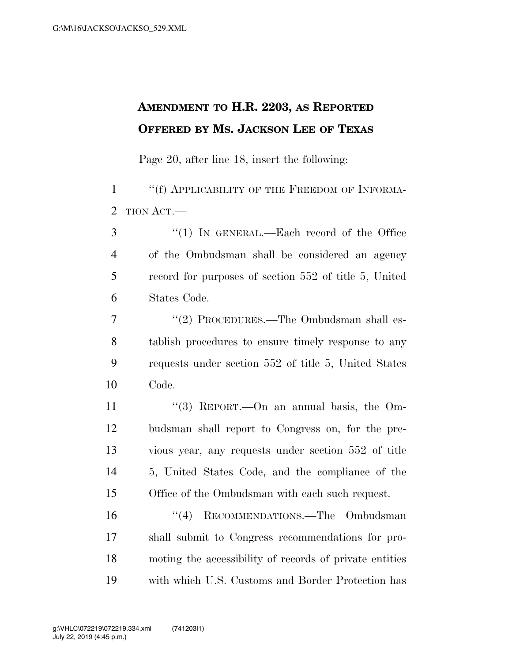## **AMENDMENT TO H.R. 2203, AS REPORTED OFFERED BY MS. JACKSON LEE OF TEXAS**

Page 20, after line 18, insert the following:

1 ""(f) APPLICABILITY OF THE FREEDOM OF INFORMA-TION ACT.—

 ''(1) IN GENERAL.—Each record of the Office of the Ombudsman shall be considered an agency record for purposes of section 552 of title 5, United States Code.

7 "(2) PROCEDURES.—The Ombudsman shall es- tablish procedures to ensure timely response to any requests under section 552 of title 5, United States Code.

11 ''(3) REPORT.—On an annual basis, the Om- budsman shall report to Congress on, for the pre- vious year, any requests under section 552 of title 5, United States Code, and the compliance of the Office of the Ombudsman with each such request.

 ''(4) RECOMMENDATIONS.—The Ombudsman shall submit to Congress recommendations for pro- moting the accessibility of records of private entities with which U.S. Customs and Border Protection has